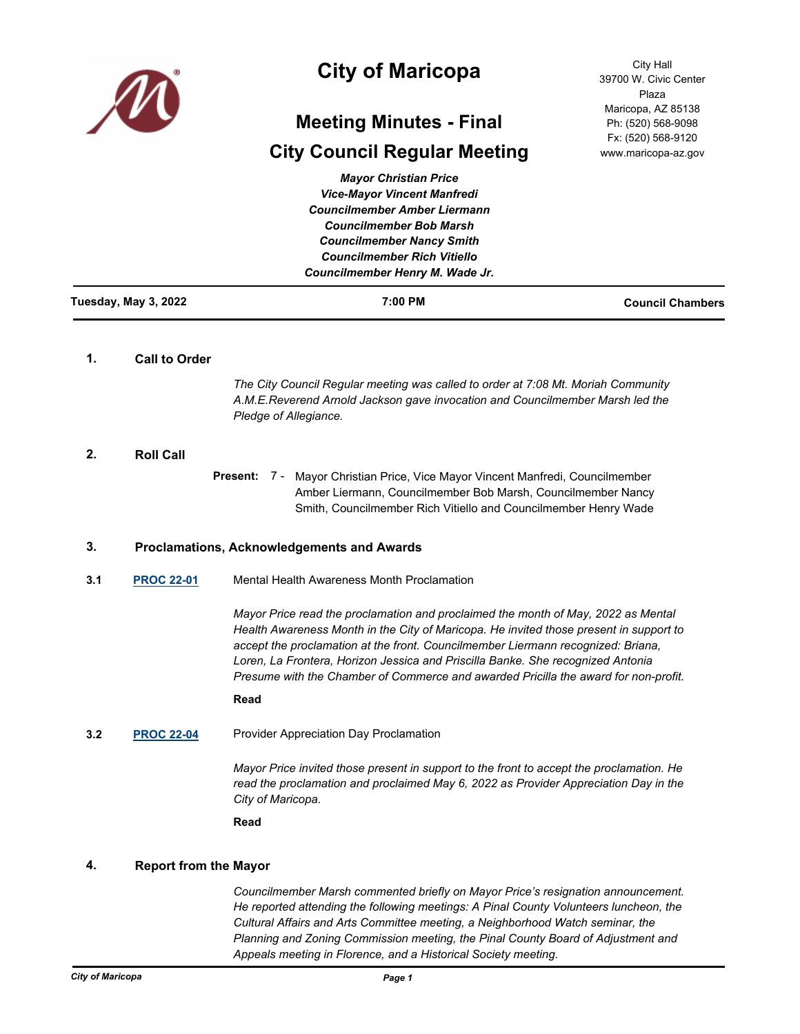

# **City of Maricopa**

# **Meeting Minutes - Final**

# **City Council Regular Meeting**

City Hall 39700 W. Civic Center Plaza Maricopa, AZ 85138 Ph: (520) 568-9098 Fx: (520) 568-9120 www.maricopa-az.gov

| Tuesday, May 3, 2022 | 7:00 PM                             | <b>Council Chambers</b> |
|----------------------|-------------------------------------|-------------------------|
|                      | Councilmember Henry M. Wade Jr.     |                         |
|                      | <b>Councilmember Rich Vitiello</b>  |                         |
|                      | <b>Councilmember Nancy Smith</b>    |                         |
|                      | <b>Councilmember Bob Marsh</b>      |                         |
|                      | <b>Councilmember Amber Liermann</b> |                         |
|                      | <b>Vice-Mayor Vincent Manfredi</b>  |                         |
|                      | <b>Mayor Christian Price</b>        |                         |

# **1. Call to Order**

*The City Council Regular meeting was called to order at 7:08 Mt. Moriah Community A.M.E.Reverend Arnold Jackson gave invocation and Councilmember Marsh led the Pledge of Allegiance.*

# **2. Roll Call**

Present: 7 - Mayor Christian Price, Vice Mayor Vincent Manfredi, Councilmember Amber Liermann, Councilmember Bob Marsh, Councilmember Nancy Smith, Councilmember Rich Vitiello and Councilmember Henry Wade

# **3. Proclamations, Acknowledgements and Awards**

**3.1 [PROC 22-01](http://maricopa.legistar.com/gateway.aspx?m=l&id=/matter.aspx?key=11064)** Mental Health Awareness Month Proclamation

*Mayor Price read the proclamation and proclaimed the month of May, 2022 as Mental Health Awareness Month in the City of Maricopa. He invited those present in support to accept the proclamation at the front. Councilmember Liermann recognized: Briana, Loren, La Frontera, Horizon Jessica and Priscilla Banke. She recognized Antonia Presume with the Chamber of Commerce and awarded Pricilla the award for non-profit.*

#### **Read**

**3.2 [PROC 22-04](http://maricopa.legistar.com/gateway.aspx?m=l&id=/matter.aspx?key=11210)** Provider Appreciation Day Proclamation

*Mayor Price invited those present in support to the front to accept the proclamation. He read the proclamation and proclaimed May 6, 2022 as Provider Appreciation Day in the City of Maricopa.*

**Read**

## **4. Report from the Mayor**

*Councilmember Marsh commented briefly on Mayor Price's resignation announcement. He reported attending the following meetings: A Pinal County Volunteers luncheon, the Cultural Affairs and Arts Committee meeting, a Neighborhood Watch seminar, the Planning and Zoning Commission meeting, the Pinal County Board of Adjustment and Appeals meeting in Florence, and a Historical Society meeting.*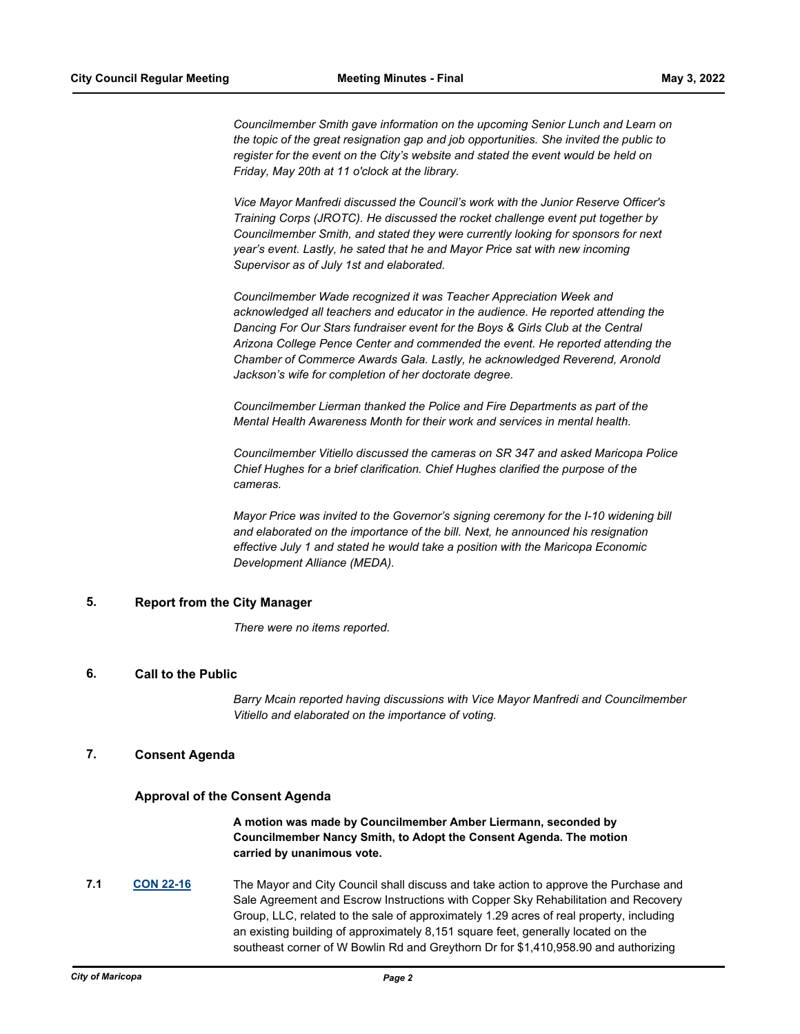*Councilmember Smith gave information on the upcoming Senior Lunch and Learn on the topic of the great resignation gap and job opportunities. She invited the public to register for the event on the City's website and stated the event would be held on Friday, May 20th at 11 o'clock at the library.* 

*Vice Mayor Manfredi discussed the Council's work with the Junior Reserve Officer's Training Corps (JROTC). He discussed the rocket challenge event put together by Councilmember Smith, and stated they were currently looking for sponsors for next year's event. Lastly, he sated that he and Mayor Price sat with new incoming Supervisor as of July 1st and elaborated.*

*Councilmember Wade recognized it was Teacher Appreciation Week and acknowledged all teachers and educator in the audience. He reported attending the Dancing For Our Stars fundraiser event for the Boys & Girls Club at the Central Arizona College Pence Center and commended the event. He reported attending the Chamber of Commerce Awards Gala. Lastly, he acknowledged Reverend, Aronold Jackson's wife for completion of her doctorate degree.* 

*Councilmember Lierman thanked the Police and Fire Departments as part of the Mental Health Awareness Month for their work and services in mental health.* 

*Councilmember Vitiello discussed the cameras on SR 347 and asked Maricopa Police Chief Hughes for a brief clarification. Chief Hughes clarified the purpose of the cameras.* 

*Mayor Price was invited to the Governor's signing ceremony for the I-10 widening bill and elaborated on the importance of the bill. Next, he announced his resignation effective July 1 and stated he would take a position with the Maricopa Economic Development Alliance (MEDA).*

# **5. Report from the City Manager**

*There were no items reported.*

## **6. Call to the Public**

*Barry Mcain reported having discussions with Vice Mayor Manfredi and Councilmember Vitiello and elaborated on the importance of voting.*

## **7. Consent Agenda**

#### **Approval of the Consent Agenda**

**A motion was made by Councilmember Amber Liermann, seconded by Councilmember Nancy Smith, to Adopt the Consent Agenda. The motion carried by unanimous vote.**

**7.1 [CON 22-16](http://maricopa.legistar.com/gateway.aspx?m=l&id=/matter.aspx?key=11191)** The Mayor and City Council shall discuss and take action to approve the Purchase and Sale Agreement and Escrow Instructions with Copper Sky Rehabilitation and Recovery Group, LLC, related to the sale of approximately 1.29 acres of real property, including an existing building of approximately 8,151 square feet, generally located on the southeast corner of W Bowlin Rd and Greythorn Dr for \$1,410,958.90 and authorizing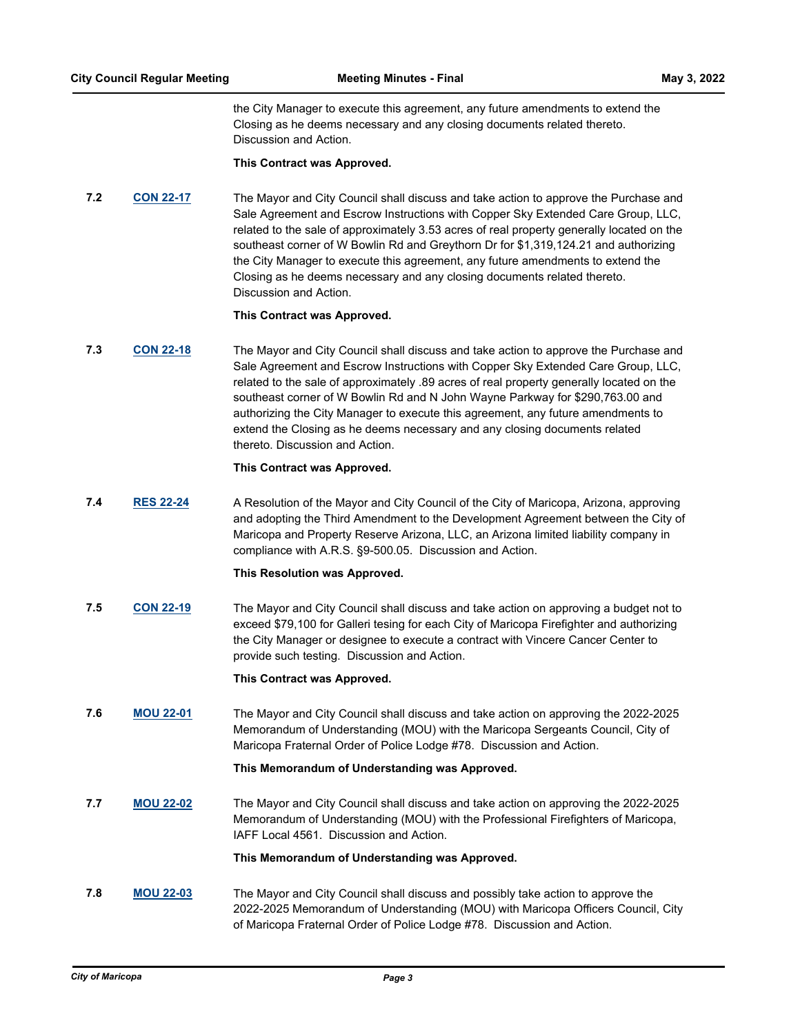the City Manager to execute this agreement, any future amendments to extend the Closing as he deems necessary and any closing documents related thereto. Discussion and Action.

#### **This Contract was Approved.**

**7.2 [CON 22-17](http://maricopa.legistar.com/gateway.aspx?m=l&id=/matter.aspx?key=11193)** The Mayor and City Council shall discuss and take action to approve the Purchase and Sale Agreement and Escrow Instructions with Copper Sky Extended Care Group, LLC, related to the sale of approximately 3.53 acres of real property generally located on the southeast corner of W Bowlin Rd and Greythorn Dr for \$1,319,124.21 and authorizing the City Manager to execute this agreement, any future amendments to extend the Closing as he deems necessary and any closing documents related thereto. Discussion and Action.

#### **This Contract was Approved.**

**7.3 [CON 22-18](http://maricopa.legistar.com/gateway.aspx?m=l&id=/matter.aspx?key=11194)** The Mayor and City Council shall discuss and take action to approve the Purchase and Sale Agreement and Escrow Instructions with Copper Sky Extended Care Group, LLC, related to the sale of approximately .89 acres of real property generally located on the southeast corner of W Bowlin Rd and N John Wayne Parkway for \$290,763.00 and authorizing the City Manager to execute this agreement, any future amendments to extend the Closing as he deems necessary and any closing documents related thereto. Discussion and Action.

#### **This Contract was Approved.**

**7.4 [RES 22-24](http://maricopa.legistar.com/gateway.aspx?m=l&id=/matter.aspx?key=11198)** A Resolution of the Mayor and City Council of the City of Maricopa, Arizona, approving and adopting the Third Amendment to the Development Agreement between the City of Maricopa and Property Reserve Arizona, LLC, an Arizona limited liability company in compliance with A.R.S. §9-500.05. Discussion and Action.

## **This Resolution was Approved.**

**7.5 [CON 22-19](http://maricopa.legistar.com/gateway.aspx?m=l&id=/matter.aspx?key=11219)** The Mayor and City Council shall discuss and take action on approving a budget not to exceed \$79,100 for Galleri tesing for each City of Maricopa Firefighter and authorizing the City Manager or designee to execute a contract with Vincere Cancer Center to provide such testing. Discussion and Action.

## **This Contract was Approved.**

**7.6 [MOU 22-01](http://maricopa.legistar.com/gateway.aspx?m=l&id=/matter.aspx?key=11220)** The Mayor and City Council shall discuss and take action on approving the 2022-2025 Memorandum of Understanding (MOU) with the Maricopa Sergeants Council, City of Maricopa Fraternal Order of Police Lodge #78. Discussion and Action.

## **This Memorandum of Understanding was Approved.**

**7.7 [MOU 22-02](http://maricopa.legistar.com/gateway.aspx?m=l&id=/matter.aspx?key=11217)** The Mayor and City Council shall discuss and take action on approving the 2022-2025 Memorandum of Understanding (MOU) with the Professional Firefighters of Maricopa, IAFF Local 4561. Discussion and Action.

#### **This Memorandum of Understanding was Approved.**

**7.8 [MOU 22-03](http://maricopa.legistar.com/gateway.aspx?m=l&id=/matter.aspx?key=11221)** The Mayor and City Council shall discuss and possibly take action to approve the 2022-2025 Memorandum of Understanding (MOU) with Maricopa Officers Council, City of Maricopa Fraternal Order of Police Lodge #78. Discussion and Action.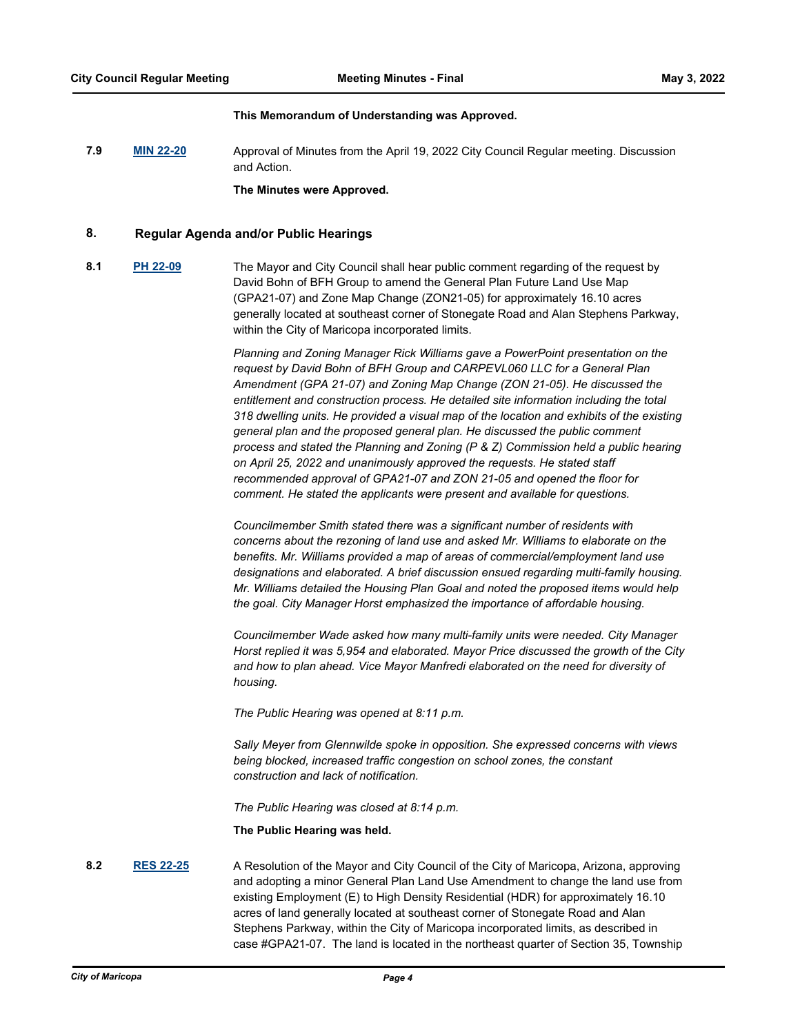#### **This Memorandum of Understanding was Approved.**

**7.9 [MIN 22-20](http://maricopa.legistar.com/gateway.aspx?m=l&id=/matter.aspx?key=11240)** Approval of Minutes from the April 19, 2022 City Council Regular meeting. Discussion and Action.

**The Minutes were Approved.**

# **8. Regular Agenda and/or Public Hearings**

**8.1 [PH 22-09](http://maricopa.legistar.com/gateway.aspx?m=l&id=/matter.aspx?key=11218)** The Mayor and City Council shall hear public comment regarding of the request by David Bohn of BFH Group to amend the General Plan Future Land Use Map (GPA21-07) and Zone Map Change (ZON21-05) for approximately 16.10 acres generally located at southeast corner of Stonegate Road and Alan Stephens Parkway, within the City of Maricopa incorporated limits.

> *Planning and Zoning Manager Rick Williams gave a PowerPoint presentation on the request by David Bohn of BFH Group and CARPEVL060 LLC for a General Plan Amendment (GPA 21-07) and Zoning Map Change (ZON 21-05). He discussed the entitlement and construction process. He detailed site information including the total 318 dwelling units. He provided a visual map of the location and exhibits of the existing general plan and the proposed general plan. He discussed the public comment process and stated the Planning and Zoning (P & Z) Commission held a public hearing on April 25, 2022 and unanimously approved the requests. He stated staff recommended approval of GPA21-07 and ZON 21-05 and opened the floor for comment. He stated the applicants were present and available for questions.*

> *Councilmember Smith stated there was a significant number of residents with concerns about the rezoning of land use and asked Mr. Williams to elaborate on the benefits. Mr. Williams provided a map of areas of commercial/employment land use designations and elaborated. A brief discussion ensued regarding multi-family housing. Mr. Williams detailed the Housing Plan Goal and noted the proposed items would help the goal. City Manager Horst emphasized the importance of affordable housing.*

> *Councilmember Wade asked how many multi-family units were needed. City Manager Horst replied it was 5,954 and elaborated. Mayor Price discussed the growth of the City and how to plan ahead. Vice Mayor Manfredi elaborated on the need for diversity of housing.*

*The Public Hearing was opened at 8:11 p.m.*

*Sally Meyer from Glennwilde spoke in opposition. She expressed concerns with views being blocked, increased traffic congestion on school zones, the constant construction and lack of notification.* 

*The Public Hearing was closed at 8:14 p.m.*

**The Public Hearing was held.**

## **8.2 [RES 22-25](http://maricopa.legistar.com/gateway.aspx?m=l&id=/matter.aspx?key=11212)** A Resolution of the Mayor and City Council of the City of Maricopa, Arizona, approving and adopting a minor General Plan Land Use Amendment to change the land use from existing Employment (E) to High Density Residential (HDR) for approximately 16.10 acres of land generally located at southeast corner of Stonegate Road and Alan Stephens Parkway, within the City of Maricopa incorporated limits, as described in case #GPA21-07. The land is located in the northeast quarter of Section 35, Township